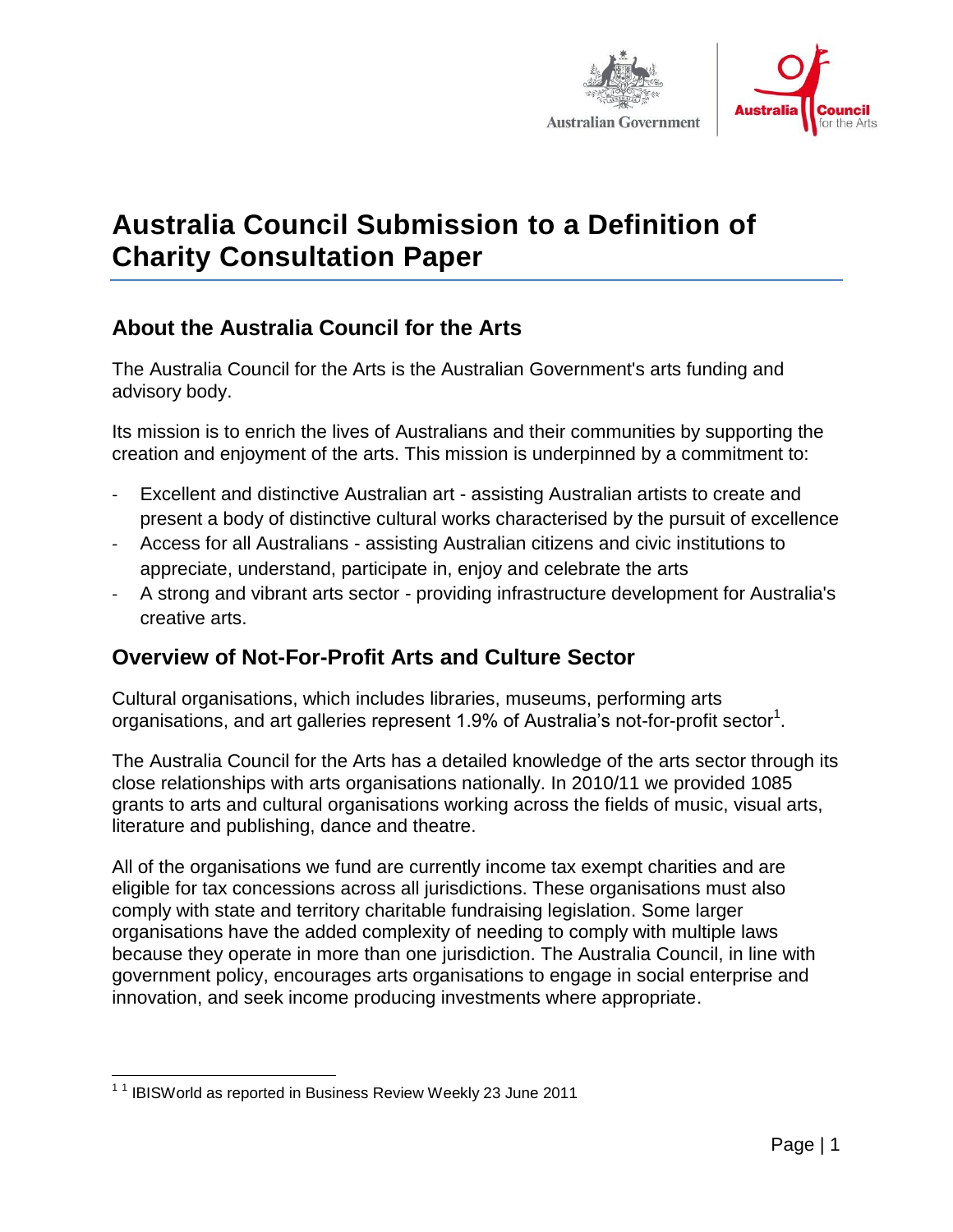



# **Australia Council Submission to a Definition of Charity Consultation Paper**

## **About the Australia Council for the Arts**

The Australia Council for the Arts is the Australian Government's arts funding and advisory body.

Its mission is to enrich the lives of Australians and their communities by supporting the creation and enjoyment of the arts. This mission is underpinned by a commitment to:

- Excellent and distinctive Australian art assisting Australian artists to create and present a body of distinctive cultural works characterised by the pursuit of excellence
- Access for all Australians assisting Australian citizens and civic institutions to appreciate, understand, participate in, enjoy and celebrate the arts
- A strong and vibrant arts sector providing infrastructure development for Australia's creative arts.

### **Overview of Not-For-Profit Arts and Culture Sector**

Cultural organisations, which includes libraries, museums, performing arts organisations, and art galleries represent 1.9% of Australia's not-for-profit sector<sup>1</sup>.

The Australia Council for the Arts has a detailed knowledge of the arts sector through its close relationships with arts organisations nationally. In 2010/11 we provided 1085 grants to arts and cultural organisations working across the fields of music, visual arts, literature and publishing, dance and theatre.

All of the organisations we fund are currently income tax exempt charities and are eligible for tax concessions across all jurisdictions. These organisations must also comply with state and territory charitable fundraising legislation. Some larger organisations have the added complexity of needing to comply with multiple laws because they operate in more than one jurisdiction. The Australia Council, in line with government policy, encourages arts organisations to engage in social enterprise and innovation, and seek income producing investments where appropriate.

 1 1 IBISWorld as reported in Business Review Weekly 23 June 2011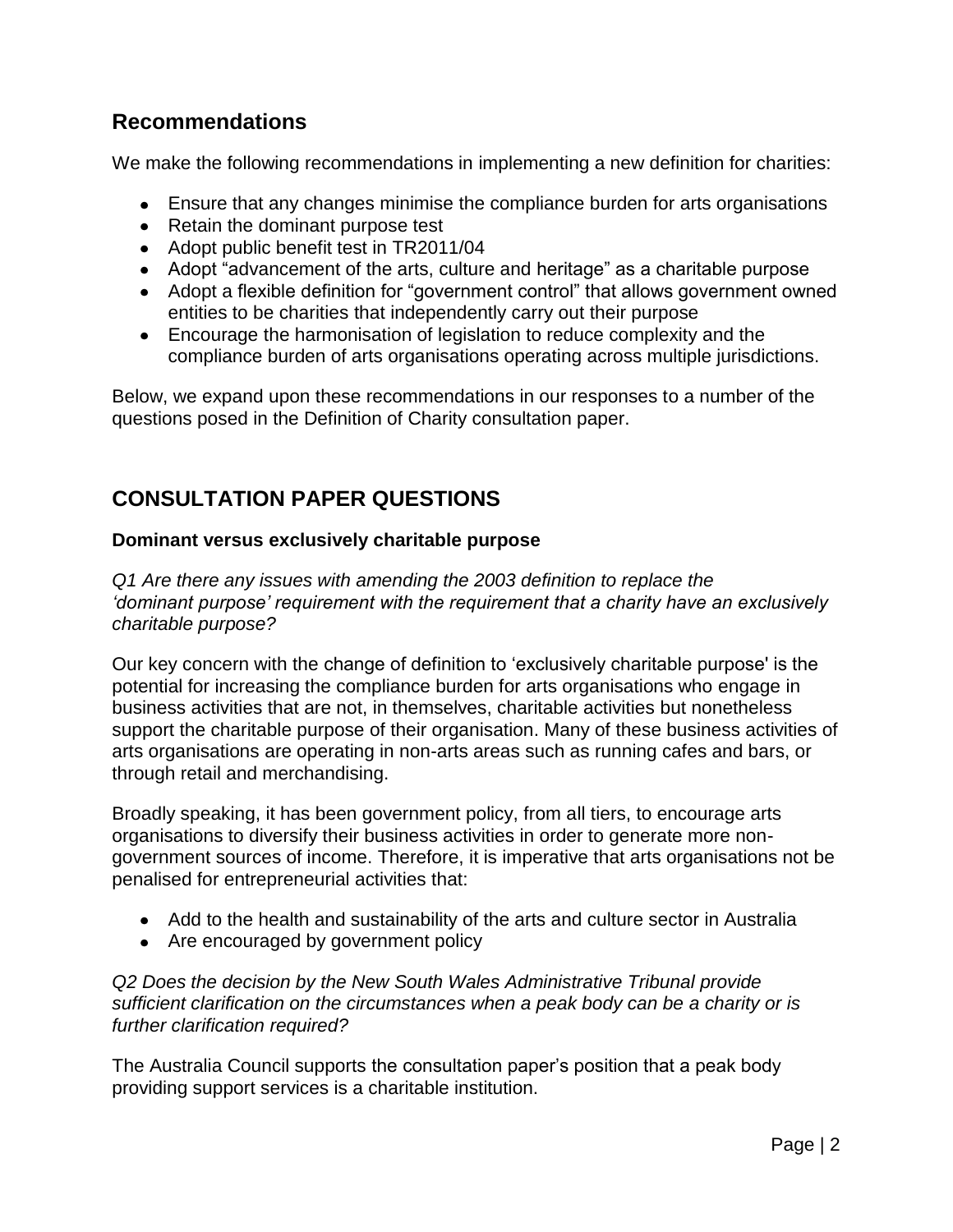### **Recommendations**

We make the following recommendations in implementing a new definition for charities:

- Ensure that any changes minimise the compliance burden for arts organisations
- Retain the dominant purpose test
- Adopt public benefit test in TR2011/04
- Adopt "advancement of the arts, culture and heritage" as a charitable purpose
- Adopt a flexible definition for "government control" that allows government owned entities to be charities that independently carry out their purpose
- Encourage the harmonisation of legislation to reduce complexity and the compliance burden of arts organisations operating across multiple jurisdictions.

Below, we expand upon these recommendations in our responses to a number of the questions posed in the Definition of Charity consultation paper.

### **CONSULTATION PAPER QUESTIONS**

#### **Dominant versus exclusively charitable purpose**

*Q1 Are there any issues with amending the 2003 definition to replace the 'dominant purpose' requirement with the requirement that a charity have an exclusively charitable purpose?*

Our key concern with the change of definition to "exclusively charitable purpose' is the potential for increasing the compliance burden for arts organisations who engage in business activities that are not, in themselves, charitable activities but nonetheless support the charitable purpose of their organisation. Many of these business activities of arts organisations are operating in non-arts areas such as running cafes and bars, or through retail and merchandising.

Broadly speaking, it has been government policy, from all tiers, to encourage arts organisations to diversify their business activities in order to generate more nongovernment sources of income. Therefore, it is imperative that arts organisations not be penalised for entrepreneurial activities that:

- Add to the health and sustainability of the arts and culture sector in Australia
- Are encouraged by government policy

*Q2 Does the decision by the New South Wales Administrative Tribunal provide sufficient clarification on the circumstances when a peak body can be a charity or is further clarification required?*

The Australia Council supports the consultation paper"s position that a peak body providing support services is a charitable institution.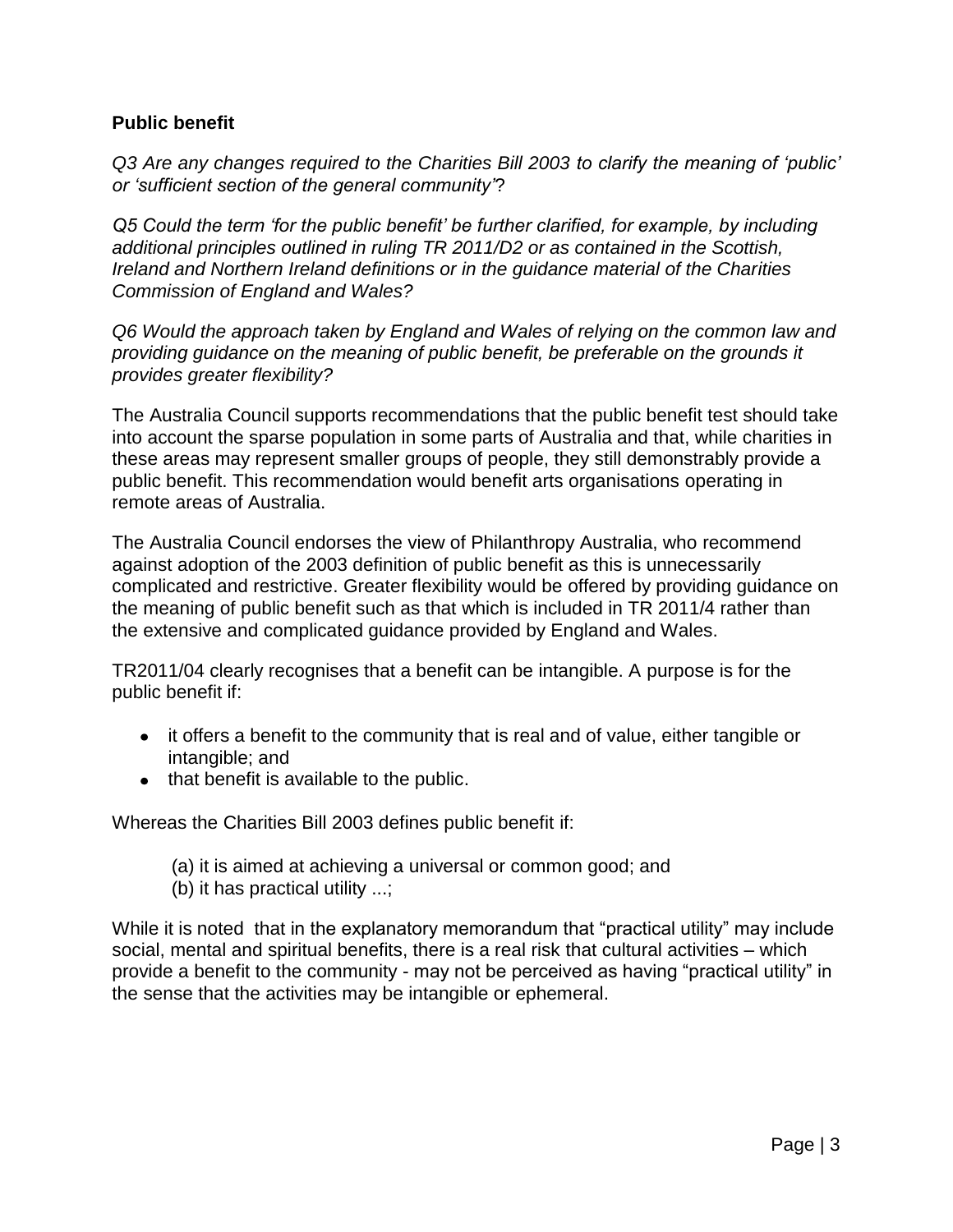#### **Public benefit**

*Q3 Are any changes required to the Charities Bill 2003 to clarify the meaning of 'public' or 'sufficient section of the general community'*?

*Q5 Could the term 'for the public benefit' be further clarified, for example, by including additional principles outlined in ruling TR 2011/D2 or as contained in the Scottish, Ireland and Northern Ireland definitions or in the guidance material of the Charities Commission of England and Wales?* 

*Q6 Would the approach taken by England and Wales of relying on the common law and providing guidance on the meaning of public benefit, be preferable on the grounds it provides greater flexibility?*

The Australia Council supports recommendations that the public benefit test should take into account the sparse population in some parts of Australia and that, while charities in these areas may represent smaller groups of people, they still demonstrably provide a public benefit. This recommendation would benefit arts organisations operating in remote areas of Australia.

The Australia Council endorses the view of Philanthropy Australia, who recommend against adoption of the 2003 definition of public benefit as this is unnecessarily complicated and restrictive. Greater flexibility would be offered by providing guidance on the meaning of public benefit such as that which is included in TR 2011/4 rather than the extensive and complicated guidance provided by England and Wales.

TR2011/04 clearly recognises that a benefit can be intangible. A purpose is for the public benefit if:

- it offers a benefit to the community that is real and of value, either tangible or intangible; and
- $\bullet$  that benefit is available to the public.

Whereas the Charities Bill 2003 defines public benefit if:

- (a) it is aimed at achieving a universal or common good; and
- (b) it has practical utility ...;

While it is noted that in the explanatory memorandum that "practical utility" may include social, mental and spiritual benefits, there is a real risk that cultural activities – which provide a benefit to the community - may not be perceived as having "practical utility" in the sense that the activities may be intangible or ephemeral.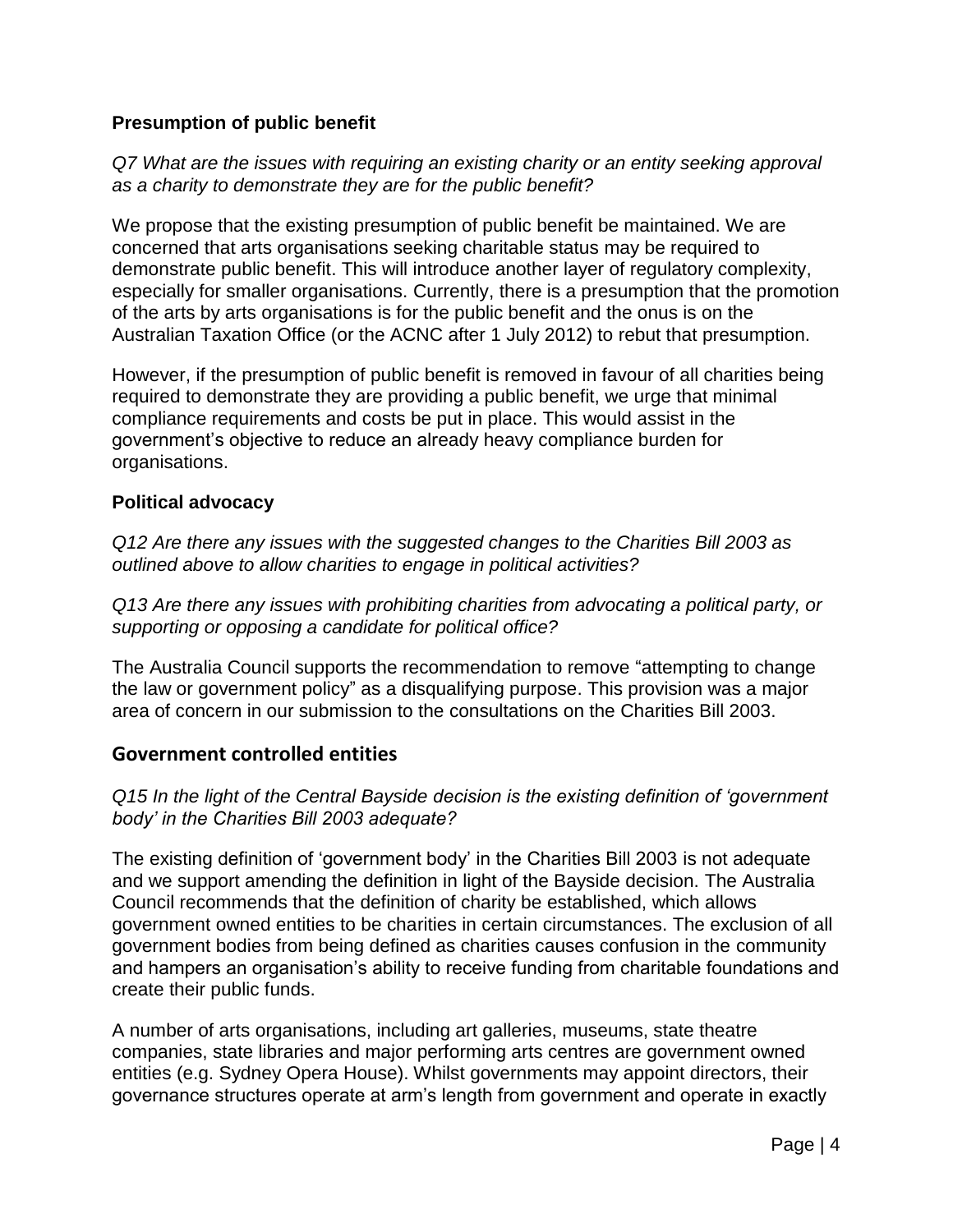#### **Presumption of public benefit**

*Q7 What are the issues with requiring an existing charity or an entity seeking approval as a charity to demonstrate they are for the public benefit?* 

We propose that the existing presumption of public benefit be maintained. We are concerned that arts organisations seeking charitable status may be required to demonstrate public benefit. This will introduce another layer of regulatory complexity, especially for smaller organisations. Currently, there is a presumption that the promotion of the arts by arts organisations is for the public benefit and the onus is on the Australian Taxation Office (or the ACNC after 1 July 2012) to rebut that presumption.

However, if the presumption of public benefit is removed in favour of all charities being required to demonstrate they are providing a public benefit, we urge that minimal compliance requirements and costs be put in place. This would assist in the government"s objective to reduce an already heavy compliance burden for organisations.

#### **Political advocacy**

*Q12 Are there any issues with the suggested changes to the Charities Bill 2003 as outlined above to allow charities to engage in political activities?*

*Q13 Are there any issues with prohibiting charities from advocating a political party, or supporting or opposing a candidate for political office?* 

The Australia Council supports the recommendation to remove "attempting to change the law or government policy" as a disqualifying purpose. This provision was a major area of concern in our submission to the consultations on the Charities Bill 2003.

#### **Government controlled entities**

*Q15 In the light of the Central Bayside decision is the existing definition of 'government body' in the Charities Bill 2003 adequate?*

The existing definition of "government body" in the Charities Bill 2003 is not adequate and we support amending the definition in light of the Bayside decision. The Australia Council recommends that the definition of charity be established, which allows government owned entities to be charities in certain circumstances. The exclusion of all government bodies from being defined as charities causes confusion in the community and hampers an organisation"s ability to receive funding from charitable foundations and create their public funds.

A number of arts organisations, including art galleries, museums, state theatre companies, state libraries and major performing arts centres are government owned entities (e.g. Sydney Opera House). Whilst governments may appoint directors, their governance structures operate at arm"s length from government and operate in exactly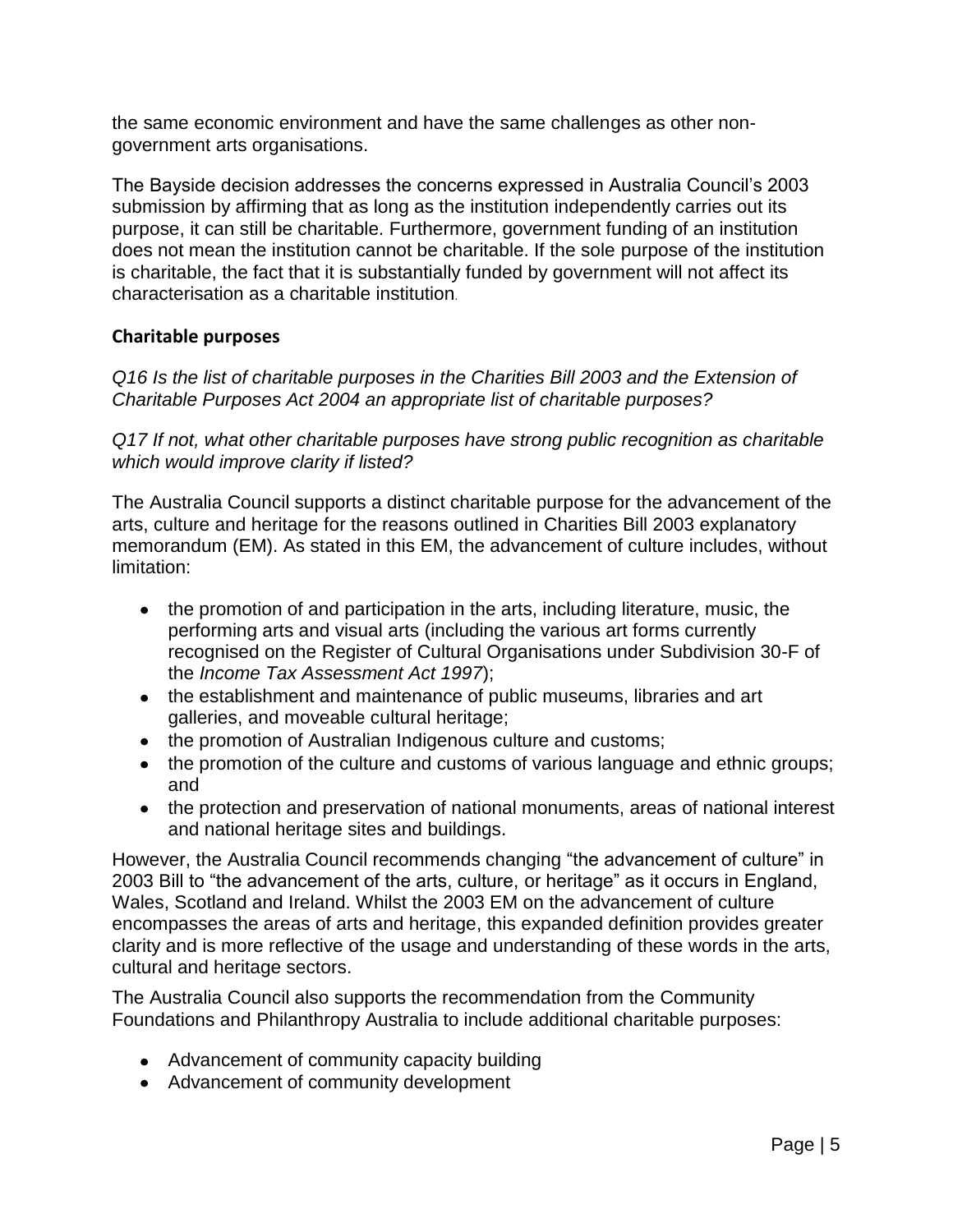the same economic environment and have the same challenges as other nongovernment arts organisations.

The Bayside decision addresses the concerns expressed in Australia Council"s 2003 submission by affirming that as long as the institution independently carries out its purpose, it can still be charitable. Furthermore, government funding of an institution does not mean the institution cannot be charitable. If the sole purpose of the institution is charitable, the fact that it is substantially funded by government will not affect its characterisation as a charitable institution.

#### **Charitable purposes**

*Q16 Is the list of charitable purposes in the Charities Bill 2003 and the Extension of Charitable Purposes Act 2004 an appropriate list of charitable purposes?*

*Q17 If not, what other charitable purposes have strong public recognition as charitable which would improve clarity if listed?* 

The Australia Council supports a distinct charitable purpose for the advancement of the arts, culture and heritage for the reasons outlined in Charities Bill 2003 explanatory memorandum (EM). As stated in this EM, the advancement of culture includes, without limitation:

- the promotion of and participation in the arts, including literature, music, the performing arts and visual arts (including the various art forms currently recognised on the Register of Cultural Organisations under Subdivision 30-F of the *Income Tax Assessment Act 1997*);
- the establishment and maintenance of public museums, libraries and art galleries, and moveable cultural heritage;
- the promotion of Australian Indigenous culture and customs;
- the promotion of the culture and customs of various language and ethnic groups; and
- the protection and preservation of national monuments, areas of national interest and national heritage sites and buildings.

However, the Australia Council recommends changing "the advancement of culture" in 2003 Bill to "the advancement of the arts, culture, or heritage" as it occurs in England, Wales, Scotland and Ireland. Whilst the 2003 EM on the advancement of culture encompasses the areas of arts and heritage, this expanded definition provides greater clarity and is more reflective of the usage and understanding of these words in the arts, cultural and heritage sectors.

The Australia Council also supports the recommendation from the Community Foundations and Philanthropy Australia to include additional charitable purposes:

- Advancement of community capacity building
- Advancement of community development